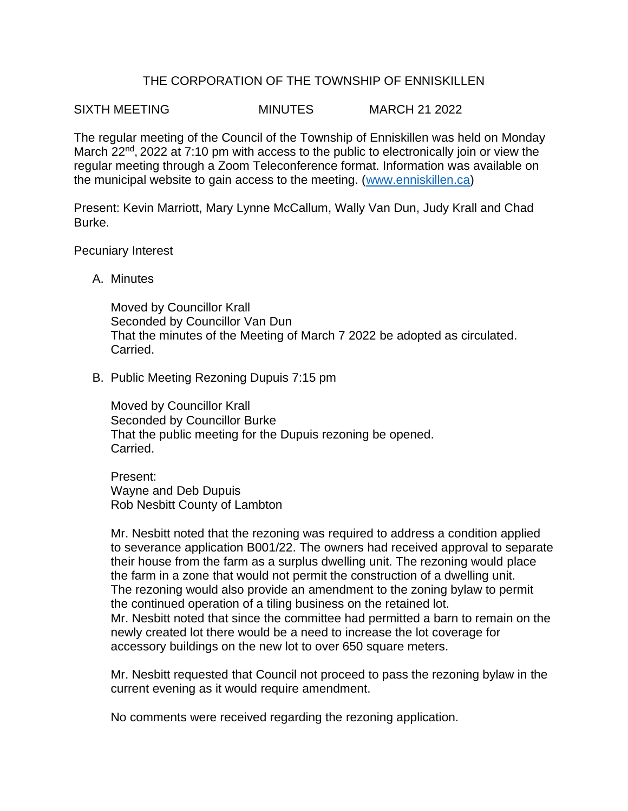## THE CORPORATION OF THE TOWNSHIP OF ENNISKILLEN

SIXTH MEETING MINUTES MARCH 21 2022

The regular meeting of the Council of the Township of Enniskillen was held on Monday March 22<sup>nd</sup>, 2022 at 7:10 pm with access to the public to electronically join or view the regular meeting through a Zoom Teleconference format. Information was available on the municipal website to gain access to the meeting. [\(www.enniskillen.ca\)](http://www.enniskillen.ca/)

Present: Kevin Marriott, Mary Lynne McCallum, Wally Van Dun, Judy Krall and Chad Burke.

Pecuniary Interest

A. Minutes

Moved by Councillor Krall Seconded by Councillor Van Dun That the minutes of the Meeting of March 7 2022 be adopted as circulated. Carried.

B. Public Meeting Rezoning Dupuis 7:15 pm

Moved by Councillor Krall Seconded by Councillor Burke That the public meeting for the Dupuis rezoning be opened. Carried.

Present: Wayne and Deb Dupuis Rob Nesbitt County of Lambton

Mr. Nesbitt noted that the rezoning was required to address a condition applied to severance application B001/22. The owners had received approval to separate their house from the farm as a surplus dwelling unit. The rezoning would place the farm in a zone that would not permit the construction of a dwelling unit. The rezoning would also provide an amendment to the zoning bylaw to permit the continued operation of a tiling business on the retained lot. Mr. Nesbitt noted that since the committee had permitted a barn to remain on the newly created lot there would be a need to increase the lot coverage for accessory buildings on the new lot to over 650 square meters.

Mr. Nesbitt requested that Council not proceed to pass the rezoning bylaw in the current evening as it would require amendment.

No comments were received regarding the rezoning application.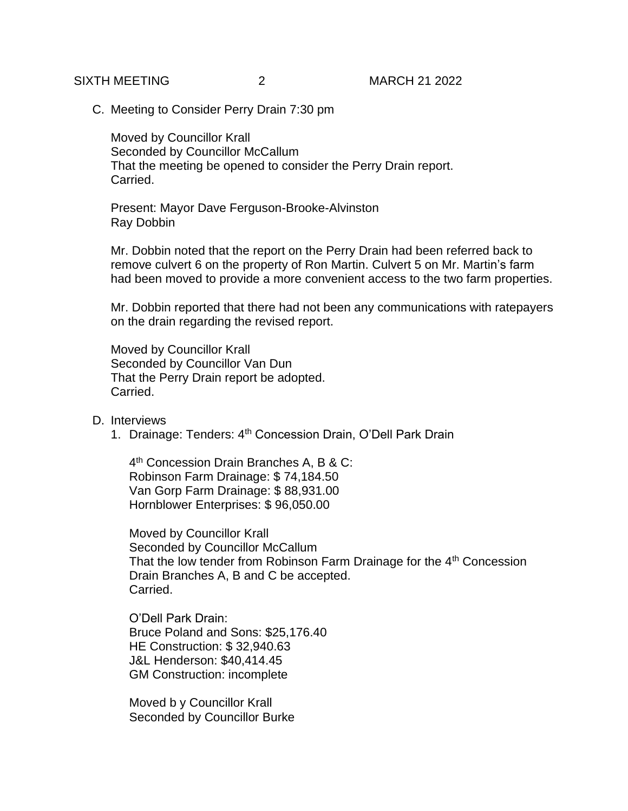C. Meeting to Consider Perry Drain 7:30 pm

Moved by Councillor Krall Seconded by Councillor McCallum That the meeting be opened to consider the Perry Drain report. Carried.

Present: Mayor Dave Ferguson-Brooke-Alvinston Ray Dobbin

Mr. Dobbin noted that the report on the Perry Drain had been referred back to remove culvert 6 on the property of Ron Martin. Culvert 5 on Mr. Martin's farm had been moved to provide a more convenient access to the two farm properties.

Mr. Dobbin reported that there had not been any communications with ratepayers on the drain regarding the revised report.

Moved by Councillor Krall Seconded by Councillor Van Dun That the Perry Drain report be adopted. Carried.

D. Interviews

1. Drainage: Tenders: 4<sup>th</sup> Concession Drain, O'Dell Park Drain

4 th Concession Drain Branches A, B & C: Robinson Farm Drainage: \$ 74,184.50 Van Gorp Farm Drainage: \$ 88,931.00 Hornblower Enterprises: \$ 96,050.00

Moved by Councillor Krall Seconded by Councillor McCallum That the low tender from Robinson Farm Drainage for the  $4<sup>th</sup>$  Concession Drain Branches A, B and C be accepted. Carried.

O'Dell Park Drain: Bruce Poland and Sons: \$25,176.40 HE Construction: \$ 32,940.63 J&L Henderson: \$40,414.45 GM Construction: incomplete

Moved b y Councillor Krall Seconded by Councillor Burke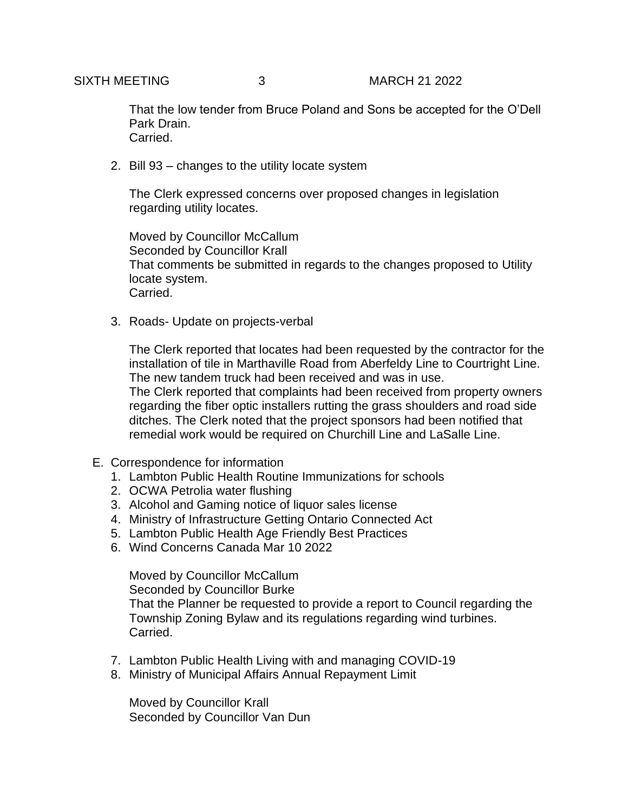That the low tender from Bruce Poland and Sons be accepted for the O'Dell Park Drain. Carried.

2. Bill 93 – changes to the utility locate system

The Clerk expressed concerns over proposed changes in legislation regarding utility locates.

Moved by Councillor McCallum Seconded by Councillor Krall That comments be submitted in regards to the changes proposed to Utility locate system. Carried.

3. Roads- Update on projects-verbal

The Clerk reported that locates had been requested by the contractor for the installation of tile in Marthaville Road from Aberfeldy Line to Courtright Line. The new tandem truck had been received and was in use. The Clerk reported that complaints had been received from property owners regarding the fiber optic installers rutting the grass shoulders and road side ditches. The Clerk noted that the project sponsors had been notified that remedial work would be required on Churchill Line and LaSalle Line.

- E. Correspondence for information
	- 1. Lambton Public Health Routine Immunizations for schools
	- 2. OCWA Petrolia water flushing
	- 3. Alcohol and Gaming notice of liquor sales license
	- 4. Ministry of Infrastructure Getting Ontario Connected Act
	- 5. Lambton Public Health Age Friendly Best Practices
	- 6. Wind Concerns Canada Mar 10 2022

Moved by Councillor McCallum Seconded by Councillor Burke That the Planner be requested to provide a report to Council regarding the Township Zoning Bylaw and its regulations regarding wind turbines. Carried.

- 7. Lambton Public Health Living with and managing COVID-19
- 8. Ministry of Municipal Affairs Annual Repayment Limit

Moved by Councillor Krall Seconded by Councillor Van Dun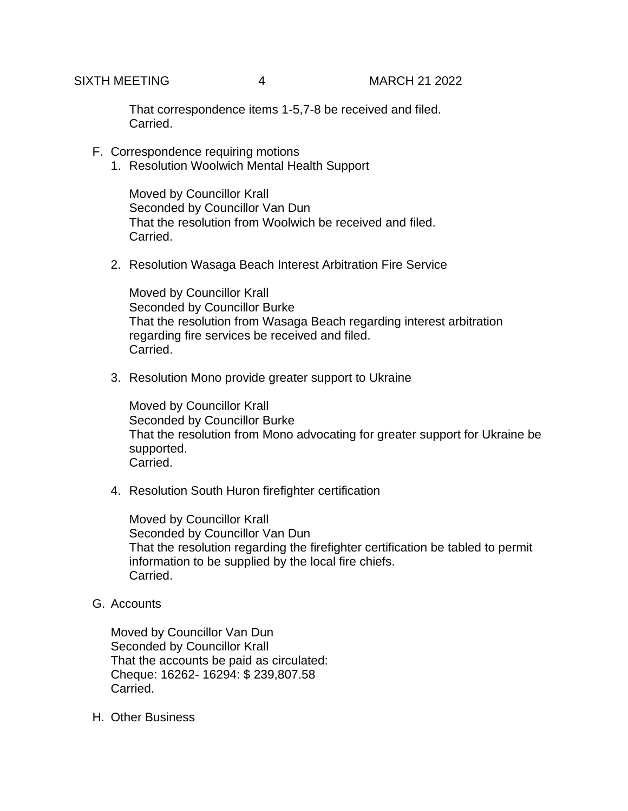That correspondence items 1-5,7-8 be received and filed. Carried.

- F. Correspondence requiring motions
	- 1. Resolution Woolwich Mental Health Support

Moved by Councillor Krall Seconded by Councillor Van Dun That the resolution from Woolwich be received and filed. Carried.

2. Resolution Wasaga Beach Interest Arbitration Fire Service

Moved by Councillor Krall Seconded by Councillor Burke That the resolution from Wasaga Beach regarding interest arbitration regarding fire services be received and filed. Carried.

3. Resolution Mono provide greater support to Ukraine

Moved by Councillor Krall Seconded by Councillor Burke That the resolution from Mono advocating for greater support for Ukraine be supported. Carried.

4. Resolution South Huron firefighter certification

Moved by Councillor Krall Seconded by Councillor Van Dun That the resolution regarding the firefighter certification be tabled to permit information to be supplied by the local fire chiefs. Carried.

G. Accounts

Moved by Councillor Van Dun Seconded by Councillor Krall That the accounts be paid as circulated: Cheque: 16262- 16294: \$ 239,807.58 Carried.

H. Other Business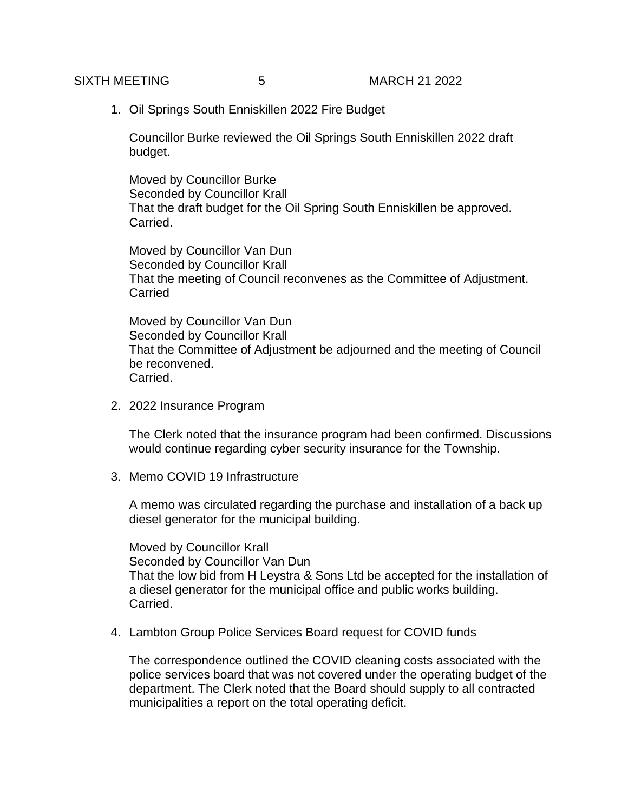1. Oil Springs South Enniskillen 2022 Fire Budget

Councillor Burke reviewed the Oil Springs South Enniskillen 2022 draft budget.

Moved by Councillor Burke Seconded by Councillor Krall That the draft budget for the Oil Spring South Enniskillen be approved. Carried.

Moved by Councillor Van Dun Seconded by Councillor Krall That the meeting of Council reconvenes as the Committee of Adjustment. **Carried** 

Moved by Councillor Van Dun Seconded by Councillor Krall That the Committee of Adjustment be adjourned and the meeting of Council be reconvened. Carried.

2. 2022 Insurance Program

The Clerk noted that the insurance program had been confirmed. Discussions would continue regarding cyber security insurance for the Township.

3. Memo COVID 19 Infrastructure

A memo was circulated regarding the purchase and installation of a back up diesel generator for the municipal building.

Moved by Councillor Krall Seconded by Councillor Van Dun That the low bid from H Leystra & Sons Ltd be accepted for the installation of a diesel generator for the municipal office and public works building. Carried.

4. Lambton Group Police Services Board request for COVID funds

The correspondence outlined the COVID cleaning costs associated with the police services board that was not covered under the operating budget of the department. The Clerk noted that the Board should supply to all contracted municipalities a report on the total operating deficit.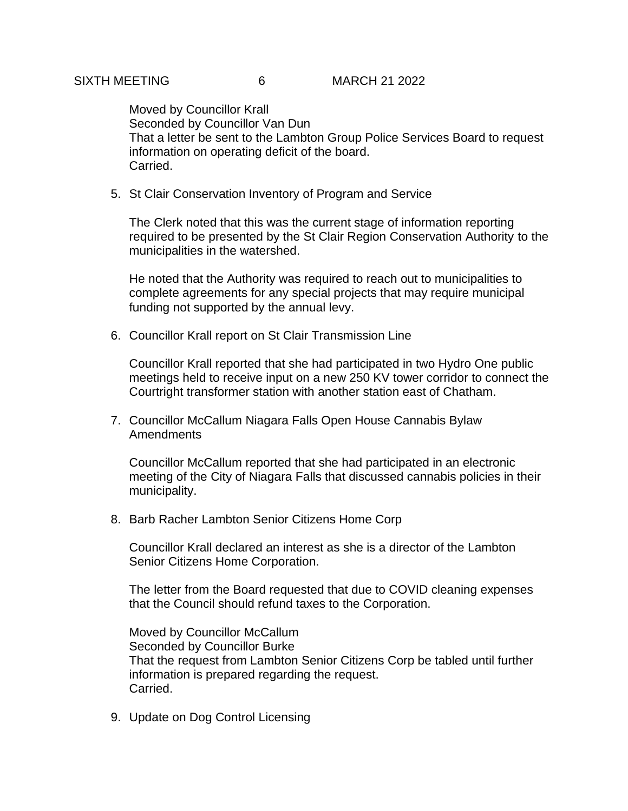Moved by Councillor Krall Seconded by Councillor Van Dun That a letter be sent to the Lambton Group Police Services Board to request information on operating deficit of the board. Carried.

5. St Clair Conservation Inventory of Program and Service

The Clerk noted that this was the current stage of information reporting required to be presented by the St Clair Region Conservation Authority to the municipalities in the watershed.

He noted that the Authority was required to reach out to municipalities to complete agreements for any special projects that may require municipal funding not supported by the annual levy.

6. Councillor Krall report on St Clair Transmission Line

Councillor Krall reported that she had participated in two Hydro One public meetings held to receive input on a new 250 KV tower corridor to connect the Courtright transformer station with another station east of Chatham.

7. Councillor McCallum Niagara Falls Open House Cannabis Bylaw Amendments

Councillor McCallum reported that she had participated in an electronic meeting of the City of Niagara Falls that discussed cannabis policies in their municipality.

8. Barb Racher Lambton Senior Citizens Home Corp

Councillor Krall declared an interest as she is a director of the Lambton Senior Citizens Home Corporation.

The letter from the Board requested that due to COVID cleaning expenses that the Council should refund taxes to the Corporation.

Moved by Councillor McCallum Seconded by Councillor Burke That the request from Lambton Senior Citizens Corp be tabled until further information is prepared regarding the request. Carried.

9. Update on Dog Control Licensing